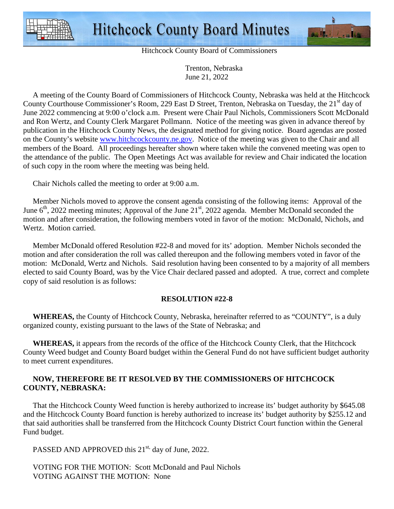



Hitchcock County Board of Commissioners

 Trenton, Nebraska June 21, 2022

 A meeting of the County Board of Commissioners of Hitchcock County, Nebraska was held at the Hitchcock County Courthouse Commissioner's Room, 229 East D Street, Trenton, Nebraska on Tuesday, the 21<sup>st</sup> day of June 2022 commencing at 9:00 o'clock a.m. Present were Chair Paul Nichols, Commissioners Scott McDonald and Ron Wertz, and County Clerk Margaret Pollmann. Notice of the meeting was given in advance thereof by publication in the Hitchcock County News, the designated method for giving notice. Board agendas are posted on the County's website www.hitchcockcounty.ne.gov. Notice of the meeting was given to the Chair and all members of the Board. All proceedings hereafter shown where taken while the convened meeting was open to the attendance of the public. The Open Meetings Act was available for review and Chair indicated the location of such copy in the room where the meeting was being held.

Chair Nichols called the meeting to order at 9:00 a.m.

 Member Nichols moved to approve the consent agenda consisting of the following items: Approval of the June 6<sup>th</sup>, 2022 meeting minutes; Approval of the June 21<sup>st</sup>, 2022 agenda. Member McDonald seconded the motion and after consideration, the following members voted in favor of the motion: McDonald, Nichols, and Wertz. Motion carried.

 Member McDonald offered Resolution #22-8 and moved for its' adoption. Member Nichols seconded the motion and after consideration the roll was called thereupon and the following members voted in favor of the motion: McDonald, Wertz and Nichols. Said resolution having been consented to by a majority of all members elected to said County Board, was by the Vice Chair declared passed and adopted. A true, correct and complete copy of said resolution is as follows:

### **RESOLUTION #22-8**

 **WHEREAS,** the County of Hitchcock County, Nebraska, hereinafter referred to as "COUNTY", is a duly organized county, existing pursuant to the laws of the State of Nebraska; and

 **WHEREAS,** it appears from the records of the office of the Hitchcock County Clerk, that the Hitchcock County Weed budget and County Board budget within the General Fund do not have sufficient budget authority to meet current expenditures.

## **NOW, THEREFORE BE IT RESOLVED BY THE COMMISSIONERS OF HITCHCOCK COUNTY, NEBRASKA:**

That the Hitchcock County Weed function is hereby authorized to increase its' budget authority by \$645.08 and the Hitchcock County Board function is hereby authorized to increase its' budget authority by \$255.12 and that said authorities shall be transferred from the Hitchcock County District Court function within the General Fund budget.

PASSED AND APPROVED this 21<sup>st,</sup> day of June, 2022.

 VOTING FOR THE MOTION: Scott McDonald and Paul Nichols VOTING AGAINST THE MOTION: None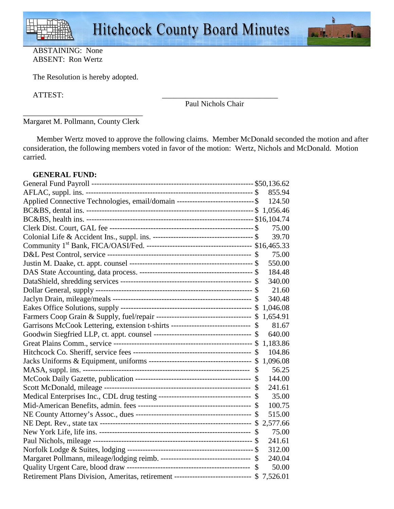

## ABSTAINING: None ABSENT: Ron Wertz

The Resolution is hereby adopted.

ATTEST: \_\_\_\_\_\_\_\_\_\_\_\_\_\_\_\_\_\_\_\_\_\_\_\_\_\_\_\_\_\_

Paul Nichols Chair

\_\_\_\_\_\_\_\_\_\_\_\_\_\_\_\_\_\_\_\_\_\_\_\_\_\_\_\_\_\_\_ Margaret M. Pollmann, County Clerk

 Member Wertz moved to approve the following claims. Member McDonald seconded the motion and after consideration, the following members voted in favor of the motion: Wertz, Nichols and McDonald. Motion carried.

## **GENERAL FUND:**

|                                                                                          | 855.94   |
|------------------------------------------------------------------------------------------|----------|
| Applied Connective Technologies, email/domain -------------------------------\$          | 124.50   |
|                                                                                          |          |
|                                                                                          |          |
|                                                                                          | 75.00    |
|                                                                                          | 39.70    |
|                                                                                          |          |
|                                                                                          | 75.00    |
|                                                                                          | 550.00   |
|                                                                                          | 184.48   |
|                                                                                          | 340.00   |
|                                                                                          | 21.60    |
|                                                                                          | 340.48   |
|                                                                                          | 1,046.08 |
|                                                                                          | 1,654.91 |
| Garrisons McCook Lettering, extension t-shirts ------------------------------- \$        | 81.67    |
|                                                                                          | 640.00   |
|                                                                                          | 1,183.86 |
|                                                                                          | 104.86   |
|                                                                                          | 1,096.08 |
|                                                                                          | 56.25    |
|                                                                                          | 144.00   |
|                                                                                          | 241.61   |
| Medical Enterprises Inc., CDL drug testing ----------------------------------- \$        | 35.00    |
|                                                                                          | 100.75   |
|                                                                                          | 515.00   |
|                                                                                          | 2,577.66 |
|                                                                                          | 75.00    |
|                                                                                          | 241.61   |
|                                                                                          | 312.00   |
| Margaret Pollmann, mileage/lodging reimb. ---------------------------------- \$          | 240.04   |
|                                                                                          | 50.00    |
| Retirement Plans Division, Ameritas, retirement ---------------------------- \$ 7,526.01 |          |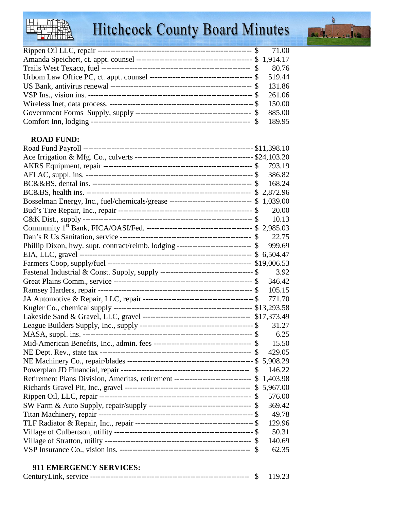# Hitchcock County Board Minutes



## **ROAD FUND:**

|                                                                                          | 793.19   |
|------------------------------------------------------------------------------------------|----------|
|                                                                                          | 386.82   |
|                                                                                          | 168.24   |
|                                                                                          |          |
| Bosselman Energy, Inc., fuel/chemicals/grease ------------------------------ \$ 1,039.00 |          |
|                                                                                          | 20.00    |
|                                                                                          | 10.13    |
|                                                                                          |          |
|                                                                                          | 22.75    |
| Phillip Dixon, hwy. supt. contract/reimb. lodging ---------------------------- \$        | 999.69   |
|                                                                                          | 6,504.47 |
|                                                                                          |          |
|                                                                                          | 3.92     |
|                                                                                          | 346.42   |
|                                                                                          | 105.15   |
|                                                                                          | 771.70   |
|                                                                                          |          |
|                                                                                          |          |
|                                                                                          | 31.27    |
|                                                                                          | 6.25     |
|                                                                                          | 15.50    |
|                                                                                          | 429.05   |
|                                                                                          | 5,908.29 |
|                                                                                          | 146.22   |
| Retirement Plans Division, Ameritas, retirement ----------------------------- \$         | 1,403.98 |
|                                                                                          | 5,967.00 |
|                                                                                          | 576.00   |
|                                                                                          | 369.42   |
|                                                                                          | 49.78    |
|                                                                                          | 129.96   |
|                                                                                          | 50.31    |
|                                                                                          | 140.69   |
|                                                                                          | 62.35    |

## **911 EMERGENCY SERVICES:**

| ∼<br>$^{\circ}$ 1nK.<br>-ser<br>TVIC.<br>Ceiltul<br>v. |  |  |
|--------------------------------------------------------|--|--|
|--------------------------------------------------------|--|--|